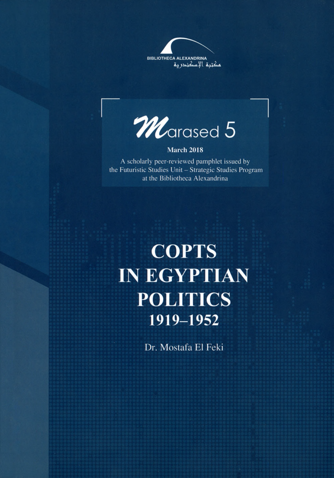



## March 2018

A scholarly peer-reviewed pamphlet issued by the Futuristic Studies Unit - Strategic Studies Program at the Bibliotheca Alexandrina

## **COPTS IN EGYPTIAN POLITICS** 1919-1952

Dr. Mostafa El Feki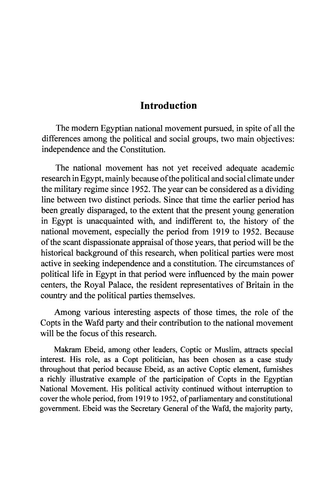## **Introduction**

The modern Egyptian national movement pursued, in spite of all the differences among the political and social groups, two main objectives: independence and the Constitution.

The national movement has not yet received adequate academic research in Egypt, mainly because of the political and social climate under the military regime since 1952. The year can be considered as a dividing line between two distinct periods. Since that time the earlier period has been greatly disparaged, to the extent that the present young generation in Egypt is unacquainted with, and indifferent to, the history of the national movement, especially the period from 1919 to 1952. Because of the scant dispassionate appraisal of those years, that period will be the historical background of this research, when political parties were most active in seeking independence and a constitution. The circumstances of political life in Egypt in that period were influenced by the main power centers, the Royal Palace, the resident representatives of Britain in the country and the political parties themselves.

Among various interesting aspects of those times, the role of the Copts in the Wafd party and their contribution to the national movement will be the focus of this research.

Makram Ebeid, among other leaders, Coptic or Muslim, attracts special interest. His role, as a Copt politician, has been chosen as a case study throughout that period because Ebeid, as an active Coptic element, furnishes a richly illustrative example of the participation of Copts in the Egyptian National Movement. His political activity continued without interruption to cover the whole period, from 1919 to 1952, of parliamentary and constitutional government. Ebeid was the Secretary General of the Wafd, the majority party,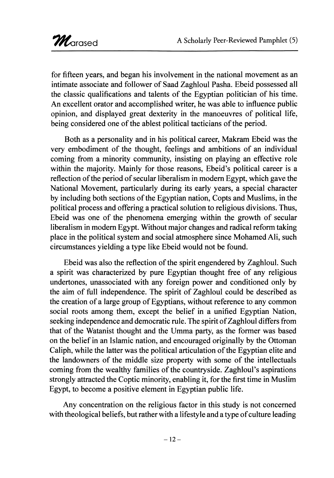for fifteen years, and began his involvement in the national movement as an intimate associate and follower of Saad Zaghloul Pasha. Ebeid possessed all the classic qualifications and talents of the Egyptian politician of his time. An excellent orator and accomplished writer, he was able to influence public opinion, and displayed great dexterity in the manoeuvres of political life, being considered one of the ablest political tacticians of the period.

Both as a personality and in his political career, Makram Ebeid was the very embodiment of the thought, feelings and ambitions of an individual coming from a minority community, insisting on playing an effective role within the majority. Mainly for those reasons, Ebeid's political career is a reflection of the period of secular liberalism in modem Egypt, which gave the National Movement, particularly during its early years, a special character by including both sections of the Egyptian nation, Copts and Muslims, in the political process and offering a practical solution to religious divisions. Thus, Ebeid was one of the phenomena emerging within the growth of secular liberalism in modem Egypt. Without major changes and radical reform taking place in the political system and social atmosphere since Mohamed Ali, such circumstances yielding a type like Ebeid would not be found.

Ebeid was also the reflection of the spirit engendered by Zaghloul. Such a spirit was characterized by pure Egyptian thought free of any religious undertones, unassociated with any foreign power and conditioned only by the aim of full independence. The spirit of Zaghloul could be described as the creation of a large group of Egyptians, without reference to any common social roots among them, except the belief in a unified Egyptian Nation, seeking independence and democratic rule. The spirit of Zaghloul differs from that of the Watanist thought and the Umma party, as the former was based on the belief in an Islamic nation, and encouraged originally by the Ottoman Caliph, while the latter was the political articulation of the Egyptian elite and the landowners of the middle size property with some of the intellectuals coming from the wealthy families of the countryside. Zaghloul's aspirations strongly attracted the Coptic minority, enabling it, for the first time in Muslim Egypt, to become a positive element in Egyptian public life.

Any concentration on the religious factor in this study is not concerned with theological beliefs, but rather with a lifestyle and a type of culture leading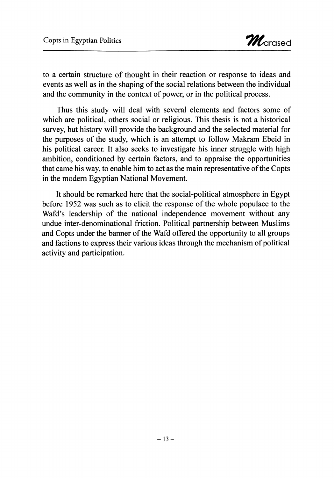to a certain structure of thought in their reaction or response to ideas and events as well as in the shaping of the social relations between the individual and the community in the context of power, or in the political process.

Thus this study will deal with several elements and factors some of which are political, others social or religious. This thesis is not a historical survey, but history will provide the background and the selected material for the purposes of the study, which is an attempt to follow Makram Ebeid in his political career. It also seeks to investigate his inner struggle with high ambition, conditioned by certain factors, and to appraise the opportunities that came his way, to enable him to act as the main representative of the Copts in the modem Egyptian National Movement.

It should be remarked here that the social-political atmosphere in Egypt before 1952 was such as to elicit the response of the whole populace to the Wafd's leadership of the national independence movement without any undue inter-denominational friction. Political partnership between Muslims and Copts under the banner of the Wafd offered the opportunity to all groups and factions to express their various ideas through the mechanism of political activity and participation.